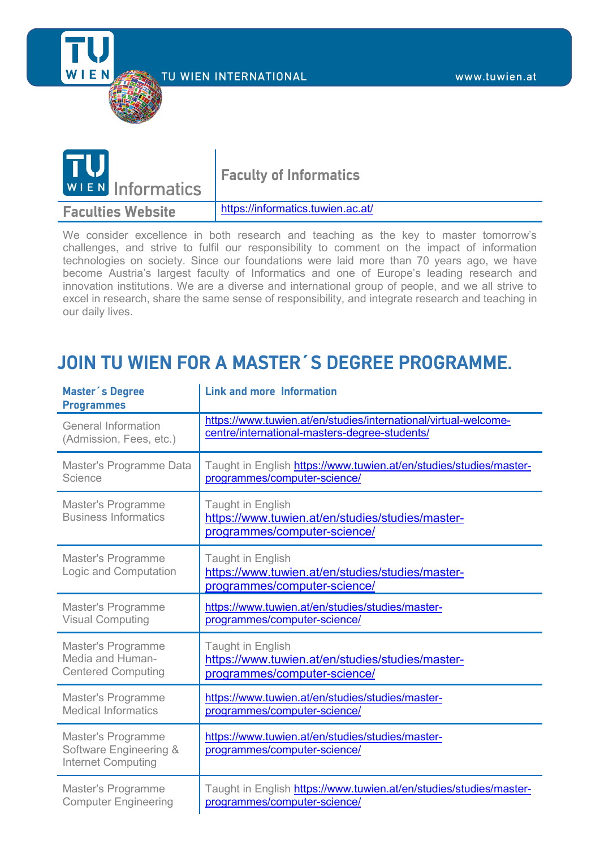Technische Universität Wien - TU Wien TU WIEN INTERNATIONAL www.tuwien.at



| <b>TU</b><br>WIEN Informatics | <b>Faculty of Informatics</b>     |
|-------------------------------|-----------------------------------|
| <b>Faculties Website</b>      | https://informatics.tuwien.ac.at/ |

We consider excellence in both research and teaching as the key to master tomorrow's challenges, and strive to fulfil our responsibility to comment on the impact of information technologies on society. Since our foundations were laid more than 70 years ago, we have become Austria's largest faculty of Informatics and one of Europe's leading research and innovation institutions. We are a diverse and international group of people, and we all strive to excel in research, share the same sense of responsibility, and integrate research and teaching in our daily lives.

## **JOIN TU WIEN FOR A MASTER´S DEGREE PROGRAMME.**

| <b>Master's Degree</b><br><b>Programmes</b>                               | <b>Link and more Information</b>                                                                      |
|---------------------------------------------------------------------------|-------------------------------------------------------------------------------------------------------|
| <b>General Information</b>                                                | https://www.tuwien.at/en/studies/international/virtual-welcome-                                       |
| (Admission, Fees, etc.)                                                   | centre/international-masters-degree-students/                                                         |
| Master's Programme Data                                                   | Taught in English https://www.tuwien.at/en/studies/studies/master-                                    |
| Science                                                                   | programmes/computer-science/                                                                          |
| <b>Master's Programme</b><br><b>Business Informatics</b>                  | Taught in English<br>https://www.tuwien.at/en/studies/studies/master-<br>programmes/computer-science/ |
| Master's Programme<br>Logic and Computation                               | Taught in English<br>https://www.tuwien.at/en/studies/studies/master-<br>programmes/computer-science/ |
| Master's Programme                                                        | https://www.tuwien.at/en/studies/studies/master-                                                      |
| <b>Visual Computing</b>                                                   | programmes/computer-science/                                                                          |
| <b>Master's Programme</b>                                                 | <b>Taught in English</b>                                                                              |
| Media and Human-                                                          | https://www.tuwien.at/en/studies/studies/master-                                                      |
| <b>Centered Computing</b>                                                 | programmes/computer-science/                                                                          |
| Master's Programme                                                        | https://www.tuwien.at/en/studies/studies/master-                                                      |
| <b>Medical Informatics</b>                                                | programmes/computer-science/                                                                          |
| Master's Programme<br>Software Engineering &<br><b>Internet Computing</b> | https://www.tuwien.at/en/studies/studies/master-<br>programmes/computer-science/                      |
| <b>Master's Programme</b>                                                 | Taught in English https://www.tuwien.at/en/studies/studies/master-                                    |
| <b>Computer Engineering</b>                                               | programmes/computer-science/                                                                          |